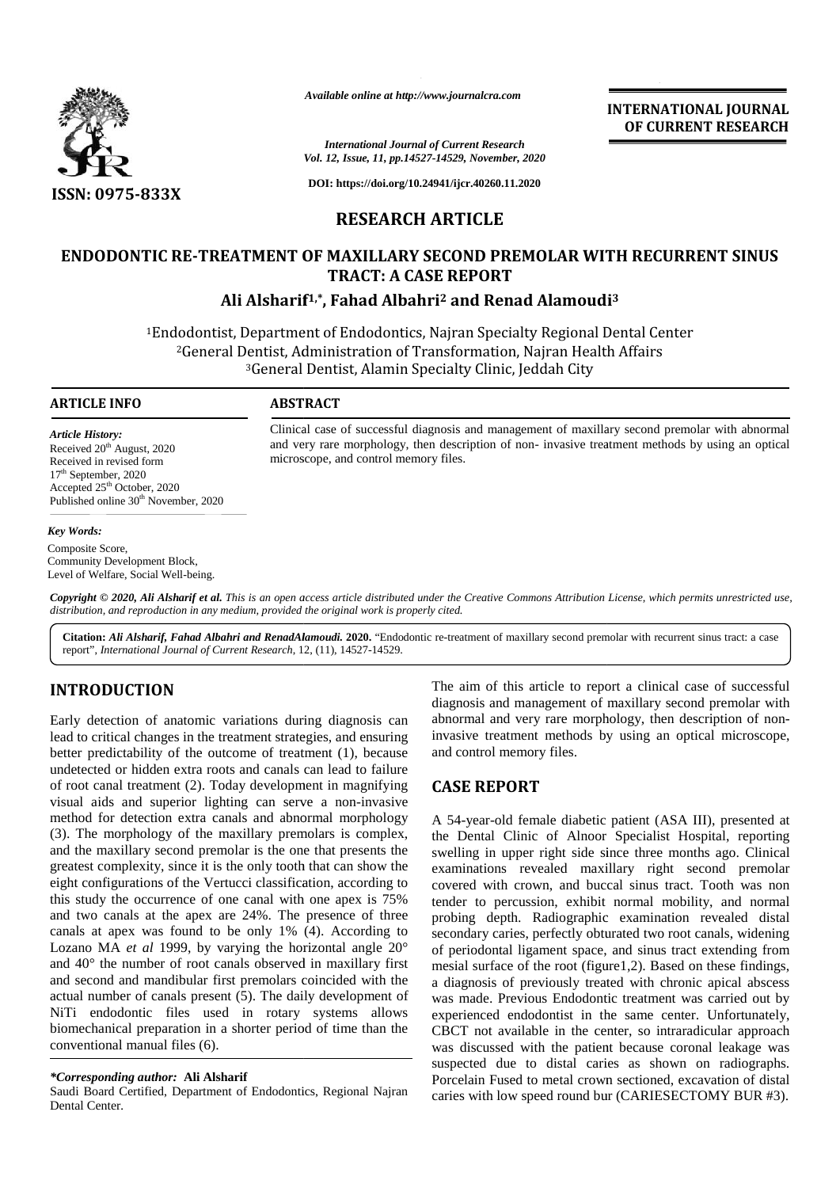

*Available online at http://www.journalcra.com*

*International Journal of Current Research Vol. 12, Issue, 11, pp.14527-14529, November, 2020*

**DOI: https://doi.org/10.24941/ijcr.40260.11.2020**

## **RESEARCH ARTICLE**

# **ENDODONTIC RE-TREATMENT OF MAXILLARY SECOND PREMOLAR WITH RECURRENT SINUS TRACT: A CASE REPORT Ali Alsharif1,\*, Fahad Albahri<sup>2</sup> and Renad Alamoudi<sup>3</sup> A CASE Ali Fahad Albahri**

<sup>1</sup>Endodontist, Department of Endodontics, Najran Specialty Regional Dental Center lodontist, Department of Endodontics, Najran Specialty Regional Dental Center<br><sup>2</sup>General Dentist, Administration of Transformation, Najran Health Affairs <sup>3</sup>General Dentist, Alamin Specialty Clinic, Jeddah City Jeddah Available online at http://www.journalcra.com<br>
Youl. 2, Issue, 11, pp. 1432-14329, Norember, 2020<br>
ISSN: 0975-833X<br>
DOI: https://doi.org/10.24941/ijct.40260.11.2020<br>
ISSN: 0975-833X<br>
DOI: https://doi.org/10.24941/ijct.4026

#### **ARTICLE INFO ABSTRACT ARTICLE ABSTRACT**

microscope, and control memory files.

*Article History:* Received  $20<sup>th</sup>$  August, 2020 Received in revised form 17<sup>th</sup> September, 2020 Accepted 25<sup>th</sup> October, 2020 Received in revised form<br>17<sup>th</sup> September, 2020<br>Accepted 25<sup>th</sup> October, 2020<br>Published online 30<sup>th</sup> November, 2020

#### *Key Words:*

Composite Score, Community Development Block, Level of Welfare, Social Well-being.

Copyright © 2020, Ali Alsharif et al. This is an open access article distributed under the Creative Commons Attribution License, which permits unrestricted use, *distribution, and reproduction in any medium, provided the original work is properly cited. distribution,any*

**Citation:** *Ali Alsharif, Fahad Albahri and RenadAlamoudi.* **2020.** "Endodontic re-treatment of maxillary second premolar with recurrent sinus tract: a case report", *International Journal of Current Research*, 12, (11), 14527-14529.

### **INTRODUCTION INTRODUCTION**

Early detection of anatomic variations during diagnosis can lead to critical changes in the treatment strategies, and ensuring better predictability of the outcome of treatment (1), because undetected or hidden extra roots and canals can lead to failure of root canal treatment  $(2)$ . Today development in magnifying  $CAS$ visual aids and superior lighting can serve a non-invasive method for detection extra canals and abnormal morphology (3). The morphology of the maxillary premolars is complex, and the maxillary second premolar is the one that presents the greatest complexity, since it is the only tooth that can show the eight configurations of the Vertucci classification, according to cove this study the occurrence of one canal with one apex is 75% and two canals at the apex are 24%. The presence of three canals at apex was found to be only 1% (4). According to canals at apex was found to be only 1% (4). According to secure Lozano *MA et al* 1999, by varying the horizontal angle 20° of and  $40^\circ$  the number of root canals observed in maxillary first  $\frac{1}{10}$ and second and mandibular first premolars coincided with the actual number of canals present  $(5)$ . The daily development of  $W$ NiTi endodontic files used in rotary systems allows biomechanical preparation in a shorter period of time than the conventional manual files (6). Early detection of anatomic variations during diagnosis can<br>lead to critical changes in the treatment strategies, and ensuring inva-<br>better predictability of the outcome of treatment (1), because and undetected or hidden extra roots and canals can lead to failure<br>of root canal treatment (2). Today development in magnifying<br>visual aids and superior lighting can serve a non-invasive<br>method for detection extra canals and greatest complexity, since it is the only tooth that<br>eight configurations of the Vertucci classification,<br>this study the occurrence of one canal with one<br>and two canals at the apex are 24%. The prese and second and mandibula<br>actual number of canals p<br>NiTi endodontic files<br>biomechanical preparation<br>conventional manual files

#### *\*Corresponding author:* **Ali Alsharif** *\*Corresponding* **Alsharif**

Saudi Board Certified, Department of Endodontics, Regional Najran carional Center. Dental Center*.*

The aim of this article to report a clinical case of successful The aim of this article to report a clinical case of successful diagnosis and management of maxillary second premolar with abnormal and very rare morphology, then description of non-<br>invasive treatment methods by using an optical microscope,<br>and control memory files. invasive treatment methods by using an optical microscope, and control memory files.

**INTERNATIONAL JOURNAL OF CURRENT RESEARCH**

## **CASE REPORT**

Clinical case of successful diagnosis and management of maxillary second premolar with abnormal and very rare morphology, then description of non- invasive treatment methods by using an optical

Clinical case of successful diagnosis and management of maxillary second premolar with abnormal<br>and very rare morphology, then description of non- invasive treatment methods by using an optical<br>microscope, and control memo

A 54-year-old female diabetic patient (ASA III), presented at the Dental Clinic of Alnoor Specialist Hospital, reporting swelling in upper right side since three months ago. Clinical examinations revealed maxillary right second premolar covered with crown, and buccal sinus tract. Tooth was non tender to percussion, exhibit normal mobility, and normal probing depth. Radiographic examination revealed distal secondary caries, perfectly obturated two root canals, widening of periodontal ligament space, and sinus tract extending from mesial surface of the root (figure1,2). Based on these findings, a diagnosis of previously treated with chronic apical abscess was made. Previous Endodontic treatment was carried out by experienced endodontist in the same center. Unfortunately, CBCT not available in the center, so intraradicular approach was discussed with the patient because coronal leakage was suspected due to distal caries as shown on radiographs. Porcelain Fused to metal crown sectioned, excavation of distal caries with low speed round bur (CARIESECTOMY BUR #3). Allowsky controlling the properties of the due crown, and the due crown and the due crown and the due crown and the due crown and the due crown of the due crown of the due crown section of the due crown of the due crown s *IMPRIMITENDATIONAL JOURNEY CHEMICAL JOURNEY ISSEM*<br>
For  $P$ , there is the since the since external to the since external to the since external to the since external to the since external to the since exception of the sin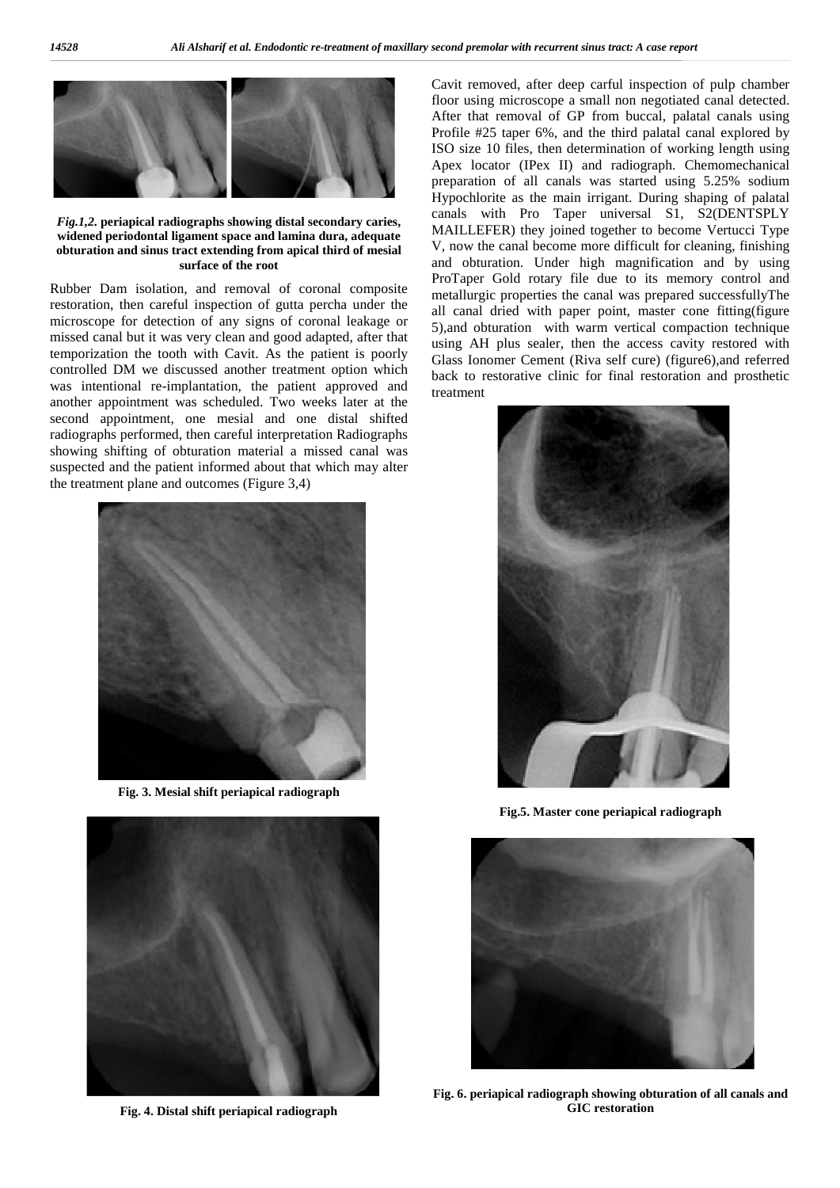

*Fig.1,2.* **periapical radiographs showing distal secondary caries, widened periodontal ligament space and lamina dura, adequate obturation and sinus tract extending from apical third of mesial surface of the root**

Rubber Dam isolation, and removal of coronal composite restoration, then careful inspection of gutta percha under the microscope for detection of any signs of coronal leakage or missed canal but it was very clean and good adapted, after that temporization the tooth with Cavit. As the patient is poorly controlled DM we discussed another treatment option which was intentional re-implantation, the patient approved and another appointment was scheduled. Two weeks later at the second appointment, one mesial and one distal shifted radiographs performed, then careful interpretation Radiographs showing shifting of obturation material a missed canal was suspected and the patient informed about that which may alter the treatment plane and outcomes (Figure 3,4)



**Fig. 3. Mesial shift periapical radiograph**



**Fig. 4. Distal shift periapical radiograph**

Cavit removed, after deep carful inspection of pulp chamber floor using microscope a small non negotiated canal detected. After that removal of GP from buccal, palatal canals using Profile #25 taper 6%, and the third palatal canal explored by ISO size 10 files, then determination of working length using Apex locator (IPex II) and radiograph. Chemomechanical preparation of all canals was started using 5.25% sodium Hypochlorite as the main irrigant. During shaping of palatal canals with Pro Taper universal S1, S2(DENTSPLY MAILLEFER) they joined together to become Vertucci Type V, now the canal become more difficult for cleaning, finishing and obturation. Under high magnification and by using ProTaper Gold rotary file due to its memory control and metallurgic properties the canal was prepared successfullyThe all canal dried with paper point, master cone fitting(figure 5),and obturation with warm vertical compaction technique using AH plus sealer, then the access cavity restored with Glass Ionomer Cement (Riva self cure) (figure6),and referred back to restorative clinic for final restoration and prosthetic treatment



**Fig.5. Master cone periapical radiograph**



**Fig. 6. periapical radiograph showing obturation of all canals and GIC restoration**